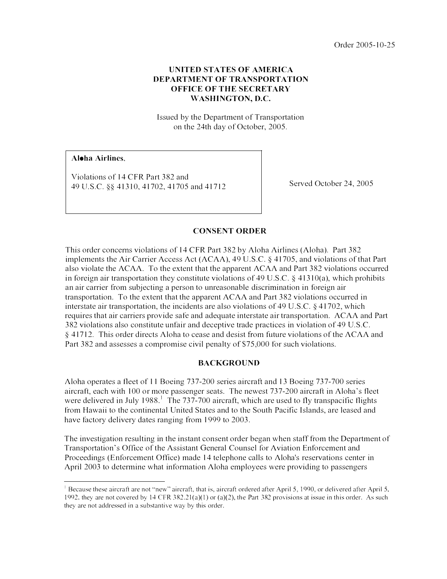Order 2005-10-25

## **UNITED STATES OF AMERICA** DEPARTMENT OF TRANSPORTATION OFFICE OF THE SECRETARY WASHINGTON, D.C.

Issued by the Department of Transportation on the 24th day of October, 2005.

Aloha Airlines,

Violations of 14 CFR Part 382 and 49 U.S.C. §§ 41310, 41702, 41705 and 41712 Served October 24, 2005

### CONSENT ORDER

This order concerns violations of 14 CFR Part 382 by Aloha Airlines (Aloha). Part 382 implements the Air Carrier Access Act (ACAA), 49 U.S.C. § 41705, and violations of that Part also violate the  $ACAA$ . To the extent that the apparent  $ACAA$  and Part 382 violations occurred in foreign air transportation they constitute violations of 49 U.S.C. § 41310(a), which prohibits an air carrier from subjecting a person to unreasonable discrimination in foreign air transportation. To the extent that the apparent ACAA and Part 382 violations occurred in interstate air transportation, the incidents are also violations of 49 U .S.C. § 41702, which requires that air carriers provide safe and adequate interstate air transportation. ACAA and Part 382 violations also constitute unfair and deceptive trade practices in violation of 49 U.S.C. § 41 712. This order directs Aloha to cease and desist from future violations of the ACAA and Part 382 and assesses a compromise civil penalty of \$75,000 for such violations.

#### BACKGROUND

Aloha operates a fleet of 11 Boeing 737-200 series aircraft and 13 Boeing 737-700 series aircraft, each with 100 or more passenger seats. The newest 737-200 aircraft in Aloha's fleet were delivered in July 1988.<sup>1</sup> The 737-700 aircraft, which are used to fly transpacific flights from Hawaii to the continental United States and to the South Pacific Islands, are leased and have factory delivery dates ranging from 1999 to 2003.

The investigation resulting in the instant consent order began when staff from the Department of Transportation's Office of the Assistant General Counsel for Aviation Enforcement and Proceedings (Enforcement Office) made 14 telephone calls to Aloha's reservations center in April 2003 to determine what infonnation Aloha employees were providing to passengers

<sup>&</sup>lt;sup>1</sup> Because these aircraft are not "new" aircraft, that is, aircraft ordered after April 5, 1990, or delivered after April 5, 1992, they are not covered by 14 CFR 382.21(a)(1) or (a)(2), the Part 382 provisions at issue in this order. As such they are not addressed in a substantive way by this order.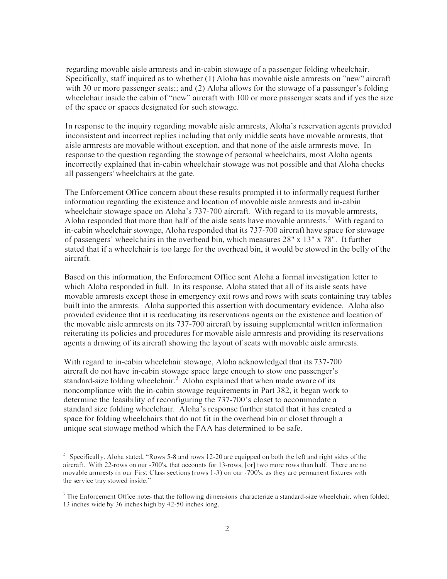regarding movable aisle armrests and in-cabin stowage of a passenger folding wheelchair. Specifically, staff inquired as to whether ( 1) Aloha has movable aisle armrests on ''new'' aircraft with 30 or more passenger seats;; and (2) Aloha allows for the stowage of a passenger's folding wheelchair inside the cabin of "new" aircraft with 100 or more passenger seats and if yes the size of the space or spaces designated for such stowage.

In response to the inquiry regarding movable aisle armrests, Aloha's reservation agents provided inconsistent and incorrect replies including that only middle seats have movable armrests, that aisle armrests are movable without exception, and that none of the aisle armrests move. In response to the question regarding the stowage of personal wheelchairs, most Aloha agents incorrectly explained that in-cabin wheelchair stowage was not possible and that Aloha checks all passengers' wheelchairs at the gate.

The Enforcement Office concern about these results prompted it to informally request further information regarding the existence and location of movable aisle annrests and in-cabin wheelchair stowage space on Aloha's 737-700 aircraft. With regard to its movable armrests, Aloha responded that more than half of the aisle seats have movable armrests.<sup>2</sup> With regard to in-cabin wheelchair stowage, Aloha responded that its 737-700 aircraft have space for stowage of passengers' wheelchairs in the overhead bin, which measures 28" x 13" x 78". It further stated that if a wheelchair is too large for the overhead bin, it would be stowed in the belly of the aircraft.

Based on this information, the Enforcement Office sent Aloha a fonnal investigation letter to which Aloha responded in full. In its response, Aloha stated that all of its aisle seats have movable annrests except those in emergency exit rows and rows with scats containing tray tables built into the armrests. Aloha supported this assertion with documentary evidence. Aloha also provided evidence that it is reeducating its reservations agents on the existence and location of the movable aisle armition its 737-700 aircraft by issuing supplemental written information reiterating its policies and procedures for movable aisle annrests and providing its reservations agents a drawing of its aircraft showing the layout of seats with movable aisle armrests.

With regard to in-cabin wheelchair stowage, Aloha acknowledged that its 737-700 aircraft do not have in-cabin stowage space large enough to stow one passenger's standard-size folding wheelchair.<sup>3</sup> Aloha explained that when made aware of its noncompliance with the in-cabin stowage requirements in Part 382, it began work to determine the feasibility of reconfiguring the 737-700's closet to accommodate a standard size folding wheelchair. Aloha's response further stated that it has created a space for folding wheelchairs that do not fit in the overhead bin or closet through a unique scat stowage method which the FAA has detennined to be safe.

Specifically. Aloha stated. "Rows 5-8 and rows 12-20 arc equipped on both the left and right sides of the 2 aircrati. With 22-rows on our -700's. that accounts for 13-rows, [or] two more rows than half. There are no movable armrests in our First Class sections (rows 1-3) on our -700's. as they arc permanent fixtures with the service tray stowed inside."

<sup>&</sup>lt;sup>3</sup> The Enforcement Office notes that the following dimensions characterize a standard-size wheelchair, when folded: 13 inches wide by 36 inches high by 42-50 inches long.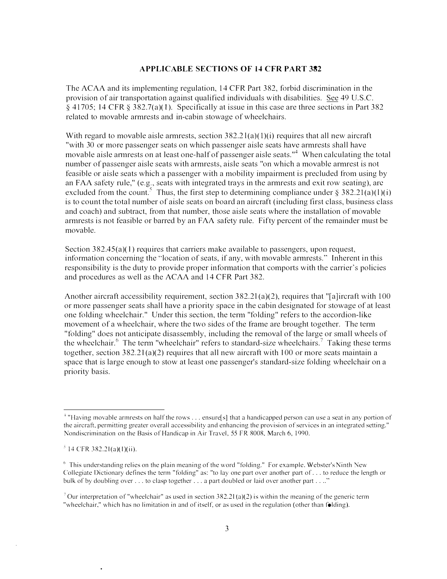#### APPLICABLE SECTIONS OF 14 CFR PART 382

The ACAA and its implementing regulation, 14 CFR Part 382, forbid discrimination in the provision of air transportation against qualified individuals with disabilities. See 49 U.S.C. § 41705; 14 CFR § 382.7(a)(I). Specifically at issue in this case are three sections in Part 382 related to movable armrests and in-cabin stowage of wheelchairs.

With regard to movable aisle armrests, section  $382.21(a)(1)(i)$  requires that all new aircraft "with 30 or more passenger seats on which passenger aisle seats have armrests shall have movable aisle armests on at least one-half of passenger aisle seats.<sup> $4$ </sup> When calculating the total number of passenger aisle seats with armrests, aisle seats "on which a movable armrest is not feasible or aisle seats which a passenger with a mobility impairment is precluded from using by an FAA safety rule," (e.g., seats with integrated trays in the armrests and exit row seating), arc excluded from the count.<sup>5</sup> Thus, the first step to determining compliance under  $\delta$  382.21(a)(1)(i) is to count the total number of aisle seats on board an aircraft (including first class, business class and coach) and subtract, from that number, those aisle seats where the installation of movable armrests is not feasible or barred by an FAA safety rule. Fifty percent of the remainder must be movable.

Section 382.45(a)(1) requires that carriers make available to passengers, upon request, information concerning the ''location of seats, if any, with movable armrests." Inherent in this responsibility is the duty to provide proper information that comports with the carrier's policies and procedures as well as the ACAA and 14 CFR Part 382.

Another aircraft accessibility requirement, section 382.2l (a)(2), requires that "[a]ircraft with 100 or more passenger seats shall have a priority space in the cabin designated for stowage of at least one folding wheelchair." Under this section, the term "folding" refers to the accordion-like movement of a wheelchair, where the two sides of the frame are brought together. The term " folding" does not anticipate disassembly, including the removal of the large or small wheels of the wheelchair.<sup>6</sup> The term "wheelchair" refers to standard-size wheelchairs.<sup>7</sup> Taking these terms together, section 382.21 (a)(2) requires that all new aircraft with 100 or more scats maintain a space that is large enough to stow at least one passenger's standard-size folding wheelchair on a priority basis.

<sup>&</sup>lt;sup>4</sup> "Having movable armrests on half the rows . . . ensure [s] that a handicapped person can use a seat in any portion of the aircraft. permitting greater overall accessibility and enhancing the provision of services in an integrated setting." Nondiscrimination on the Basis of Handicap in Air Travel. 55 FR 8008. March 6, 1990.

 $5$  14 CFR 382.2l(a)(l)(ii).

 $6$  This understanding relies on the plain meaning of the word "folding." For example. Webster's Ninth New Collegiate Dictionary defines the term "folding" as: "to lay one part over another part of . .. to reduce the length or bulk of by doubling over ... to clasp together ... a part doubled or laid over another part ...."

<sup>&</sup>lt;sup>7</sup> Our interpretation of "wheelchair" as used in section 382.21(a)(2) is within the meaning of the generic term "wheelchair." which has no limitation in and of itself, or as used in the regulation (other than folding).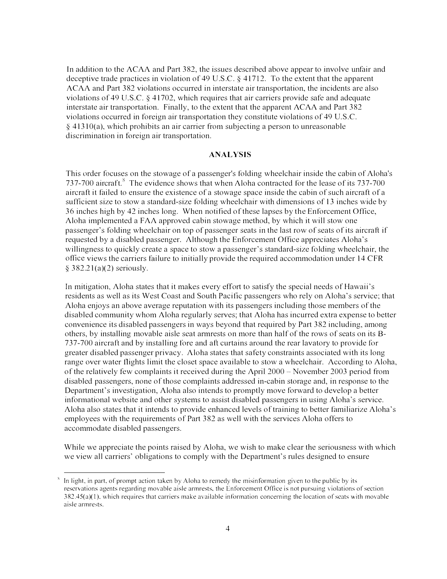In addition to the ACAA and Part 382, the issues described above appear to involve unfair and deceptive trade practices in violation of 49 U.S.C. § 41712. To the extent that the apparent ACAA and Part 382 violations occurred in interstate air transportation, the incidents are also violations of 49 U.S.C. § 41702, which requires that air carriers provide safe and adequate interstate air transportation. Finally, to the extent that the apparent ACAA and Part 382 violations occurred in foreign air transportation they constitute violations of 49 U.S.C. § 4131 O(a), which prohibits an air carrier from subjecting a person to unreasonable discrimination in foreign air transportation.

#### ANALYSIS

This order focuses on the stowage of a passenger's folding wheelchair inside the cabin of Aloha's 737-700 aircraft.<sup>8</sup> The evidence shows that when Aloha contracted for the lease of its 737-700 aircraft it failed to ensure the existence of a stowage space inside the cabin of such aircraft of a sufficient size to stow a standard-size folding wheelchair with dimensions of 13 inches wide by 36 inches high by 42 inches long. When notified of these lapses by the Enforcement Office, Aloha implemented a FAA approved cabin stowage method, by which it will stow one passenger's folding wheelchair on top of passenger seats in the last row of seats of its aircraft if requested by a disabled passenger. Although the Enforcement Office appreciates Aloha's willingness to quickly create a space to stow a passenger's standard-size folding wheelchair, the office views the carriers failure to initially provide the required accommodation under 14 CFR § 382.21(a)(2) seriously.

In mitigation, Aloha states that it makes every effort to satisfy the special needs of Hawaii's residents as well as its West Coast and South Pacific passengers who rely on Aloha's service; that Aloha enjoys an above average reputation with its passengers including those members of the disabled community whom Aloha regularly serves; that Aloha has incurred extra expense to better convenience its disabled passengers in ways beyond that required by Part 382 including, among others, by installing movable aisle scat annrests on more than half of the rows of scats on its 8- 73 7-700 aircraft and by installing fore and aft curtains around the rear lavatory to provide for greater disabled passenger privacy. Aloha states that safety constraints associated with its long range over water flights limit the closet space available to stow a wheelchair. According to Aloha, of the relatively few complaints it received during the April  $2000 -$ November 2003 period from disabled passengers, none of those complaints addressed in-cabin storage and, in response to the Department's investigation, Aloha also intends to promptly move forward to develop a better informational website and other systems to assist disabled passengers in using Aloha's service. Aloha also states that it intends to provide enhanced levels of training to better familiarize Aloha's employees with the requirements of Part 382 as well with the services Aloha offers to accommodate disabled passengers.

While we appreciate the points raised by Aloha, we wish to make clear the seriousness with which we view all carriers' obligations to comply with the Department's rules designed to ensure

In light, in part, of prompt action taken by Aloha to remedy the misinformation given to the public by its reservations agents regarding movable aisle armrests, the Enforcement Office is not pursuing violations of section  $382.45(a)(1)$ , which requires that carriers make available information concerning the location of seats with movable aisle armrests.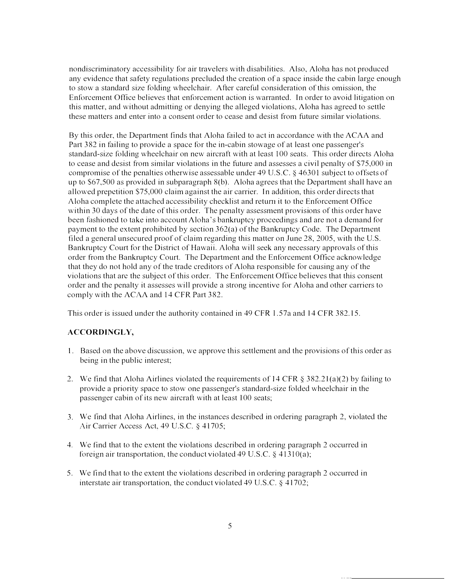nondiscriminatory accessibility for air travelers with disabilities. Also, Aloha has not produced any evidence that safety regulations precluded the creation of a space inside the cabin large enough to stow a standard size folding wheelchair. After careful consideration of this omission, the Enforcement Office believes that enforcement action is warranted. In order to avoid litigation on this matter, and without admitting or denying the alleged violations, Aloha has agreed to settle these matters and enter into a consent order to cease and desist from future similar violations.

By this order, the Department finds that Aloha failed to act in accordance with the ACAA and Part 382 in failing to provide a space for the in-cabin stowage of at least one passenger's standard-size folding wheelchair on new aircraft with at least 100 seats. This order directs Aloha to cease and desist from similar violations in the future and assesses a civil penalty of \$75,000 in compromise of the penalties otherwise assessable under 49 U.S.C. § 46301 subject to offsets of up to  $$67,500$  as provided in subparagraph  $8(b)$ . Aloha agrees that the Department shall have an allowed prepctition \$75,000 claim against the air carrier. In addition, this order directs that Aloha complete the attached accessibility checklist and return it to the Enforcement Office within 30 days of the date of this order. The penalty assessment provisions of this order have been fashioned to take into account Aloha's bankruptcy proceedings and are not a demand for payment to the extent prohibited by section  $362(a)$  of the Bankruptcy Code. The Department filed a general unsecured proof of claim regarding this matter on June 28, 2005, with the U.S. Bankruptcy Court for the District of Hawaii. Aloha will seek any necessary approvals of this order from the Bankruptcy Court. The Department and the Enforcement Office acknowledge that they do not hold any of the trade creditors of Aloha responsible for causing any of the violations that arc the subject of this order. The Enforcement Office believes that this consent order and the penalty it assesses will provide a strong incentive for Aloha and other carriers to comply with the ACAA and 14 CFR Part 382.

This order is issued under the authority contained in 49 CFR l .57a and 14 CFR 382.15.

# ACCORDINGLY,

- I. Based on the above discussion, we approve this settlement and the provisions of this order as being in the public interest;
- 2. We find that Aloha Airlines violated the requirements of 14 CFR § 382.21(a)(2) by failing to provide a priority space to stow one passenger's standard-size folded wheelchair in the passenger cabin of its new aircraft with at least 100 seats;
- 3. We find that Aloha Airlines, in the instances described in ordering paragraph 2, violated the Air Carrier Access Act, 49 U.S.C. § 41705;
- 4. We find that to the extent the violations described in ordering paragraph 2 occurred in foreign air transportation, the conduct violated 49 U.S.C.  $\S$  41310(a);
- 5. We find that to the extent the violations described in ordering paragraph 2 occurred in interstate air transportation, the conduct violated 49 U.S.C. § 41702;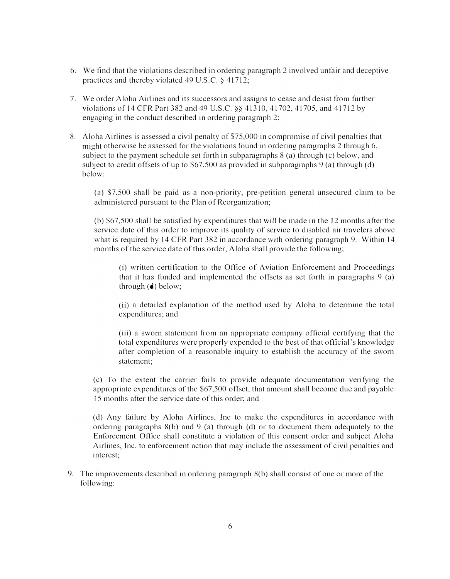- 6. We find that the violations described in ordering paragraph 2 involved unfair and deceptive practices and thereby violated 49 U.S.C.  $\S$  41712;
- 7. We order Aloha Airlines and its successors and assigns to cease and desist from further violations of 14 CFR Part 382 and 49 U.S.C. §§ 41310, 41702, 41705, and 41712 by engaging in the conduct described in ordering paragraph 2;
- 8. Aloha Airlines is assessed a civil penalty of S75,000 in compromise of civil penalties that might otherwise be assessed for the violations found in ordering paragraphs 2 through 6, subject to the payment schedule set forth in subparagraphs 8 (a) through (c) below, and subject to credit offsets of up to \$67,500 as provided in subparagraphs 9 (a) through (d) below:

(a) \$7,500 shall be paid as a non-priority, pre-petition general unsecured claim to be administered pursuant to the Plan of Reorganization;

(b) \$67,500 shall be satisfied by expenditures that \viii be made in the 12 months after the service date of this order to improve its quality of service to disabled air travelers above what is required by 14 CFR Part 382 in accordance with ordering paragraph 9. Within 14 months of the service date of this order, Aloha shall provide the following;

(i) written certification to the Office of Aviation Enforcement and Proceedings that it has funded and implemented the offsets as set forth in paragraphs 9 (a) through  $(d)$  below;

(ii) a detailed explanation of the method used by Aloha to determine the total expenditures; and

(iii) a sworn statement from an appropriate company official certifying that the total expenditures were properly expended to the best of that official's knowledge after completion of a reasonable inquiry to establish the accuracy of the sworn statement;

(c) To the extent the carrier fails to provide adequate documentation verifying the appropriate expenditures of the \$67,500 offset, that amount shall become due and payable 15 months after the service date of this order; and

(d) Any failure by Aloha Airlines, Inc to make the expenditures in accordance with ordering paragraphs 8(b) and 9 (a) through (d) or to document them adequately to the Enforcement Office shall constitute a violation of this consent order and subject Aloha Airlines, Inc. to enforcement action that may include the assessment of civil penalties and interest;

9. The improvements described in ordering paragraph 8(b) shall consist of one or more of the following: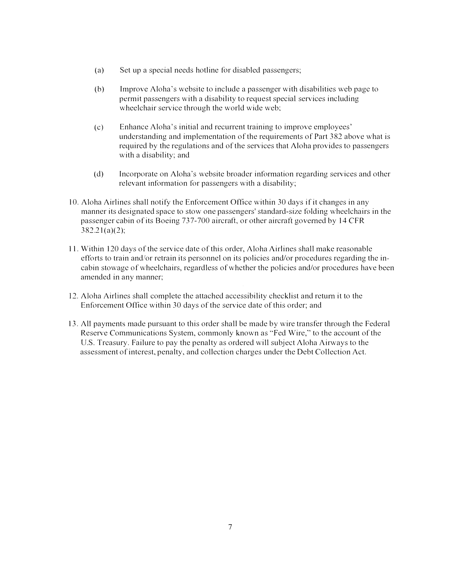- (a) Set up a special needs hotline for disabled passengers;
- (b) Improve Aloha's website to include a passenger with disabilities web page to permit passengers with a disability to request special services including wheelchair service through the world wide web;
- (c) Enhance Aloha's initial and recurrent training to improve employees' understanding and implementation of the requirements of Part 382 above what is required by the regulations and of the services that Aloha provides to passengers with a disability; and
- (d) Incorporate on Aloha's website broader information regarding services and other relevant information for passengers with a disability;
- 10. Aloha Airlines shall notify the Enforcement Office within 30 days if it changes in any manner its designated space to stow one passengers' standard-size folding wheelchairs in the passenger cabin of its Boeing 737-700 aircraft, or other aircraft governed by 14 CFR 382.2l(a)(2);
- 11. Within 120 days of the service date of this order, Aloha Airlines shall make reasonable efforts to train and/or retrain its personnel on its policies and/or procedures regarding the incabin stowage of wheelchairs, regardless of whether the policies and/or procedures have been amended in any manner;
- 1 2. Aloha Airlines shall complete the attached accessibility checklist and return it to the Enforcement Office within 30 days of the service date of this order; and
- 13. All payments made pursuant to this order shall be made by wire transfer through the Federal Reserve Communications System, commonly known as "Fed Wire," to the account of the U.S. Treasury. Failure to pay the penalty as ordered will subject Aloha Airways to the assessment of interest, penalty, and collection charges under the Debt Collection Act.